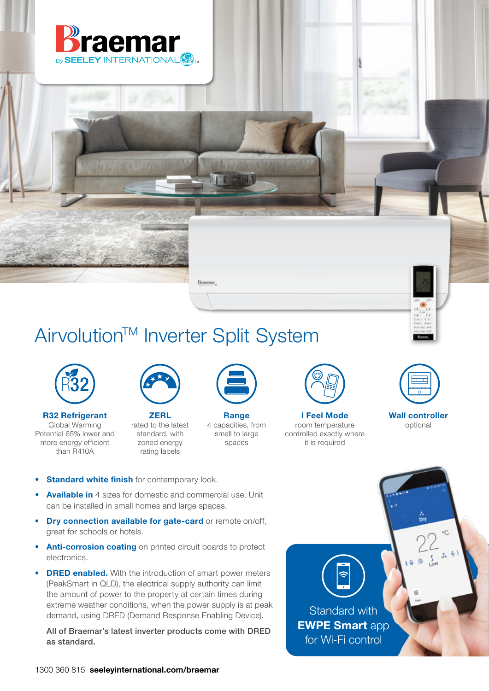

# Airvolution<sup>™</sup> Inverter Split System

Braemar,



R32 Refrigerant Global Warming Potential 65% lower and more energy efficient than R410A



**ZERL** rated to the latest standard, with zoned energy rating labels



**Range** 4 capacities, from small to large spaces



I Feel Mode room temperature controlled exactly where it is required



Wall controller optional

- Standard white finish for contemporary look.
- Available in 4 sizes for domestic and commercial use. Unit can be installed in small homes and large spaces.
- Dry connection available for gate-card or remote on/off, great for schools or hotels.
- Anti-corrosion coating on printed circuit boards to protect electronics.
- DRED enabled. With the introduction of smart power meters (PeakSmart in QLD), the electrical supply authority can limit the amount of power to the property at certain times during extreme weather conditions, when the power supply is at peak demand, using DRED (Demand Response Enabling Device).

All of Braemar's latest inverter products come with DRED as standard.